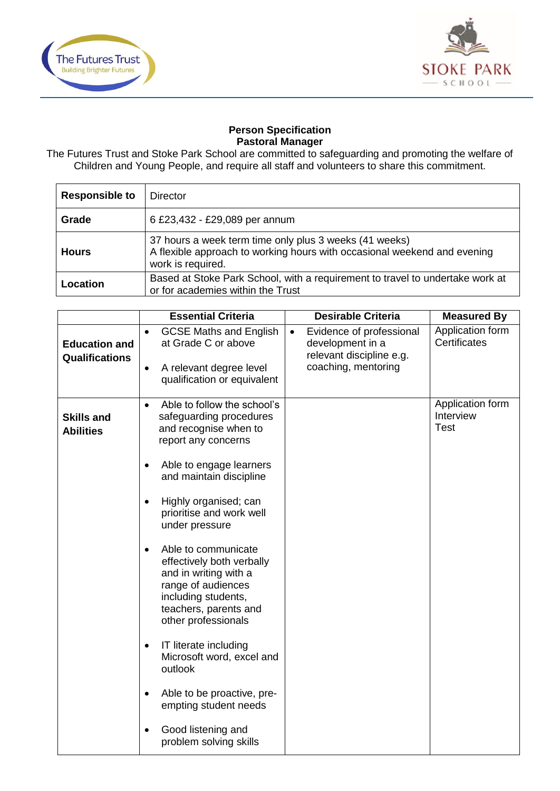



## **Person Specification Pastoral Manager**

The Futures Trust and Stoke Park School are committed to safeguarding and promoting the welfare of Children and Young People, and require all staff and volunteers to share this commitment.

| <b>Responsible to</b> | Director                                                                                                                                                |
|-----------------------|---------------------------------------------------------------------------------------------------------------------------------------------------------|
| Grade                 | 6 £23,432 - £29,089 per annum                                                                                                                           |
| <b>Hours</b>          | 37 hours a week term time only plus 3 weeks (41 weeks)<br>A flexible approach to working hours with occasional weekend and evening<br>work is required. |
| Location              | Based at Stoke Park School, with a requirement to travel to undertake work at<br>or for academies within the Trust                                      |

|                                               | <b>Essential Criteria</b>                                                                                                                                                                                                                                                                                                                                                                                                                                                                                                                                                                                                                              | <b>Desirable Criteria</b>                                                                                    | <b>Measured By</b>                           |
|-----------------------------------------------|--------------------------------------------------------------------------------------------------------------------------------------------------------------------------------------------------------------------------------------------------------------------------------------------------------------------------------------------------------------------------------------------------------------------------------------------------------------------------------------------------------------------------------------------------------------------------------------------------------------------------------------------------------|--------------------------------------------------------------------------------------------------------------|----------------------------------------------|
| <b>Education and</b><br><b>Qualifications</b> | <b>GCSE Maths and English</b><br>$\bullet$<br>at Grade C or above<br>A relevant degree level<br>$\bullet$<br>qualification or equivalent                                                                                                                                                                                                                                                                                                                                                                                                                                                                                                               | Evidence of professional<br>$\bullet$<br>development in a<br>relevant discipline e.g.<br>coaching, mentoring | Application form<br>Certificates             |
| <b>Skills and</b><br><b>Abilities</b>         | Able to follow the school's<br>$\bullet$<br>safeguarding procedures<br>and recognise when to<br>report any concerns<br>Able to engage learners<br>$\bullet$<br>and maintain discipline<br>Highly organised; can<br>$\bullet$<br>prioritise and work well<br>under pressure<br>Able to communicate<br>$\bullet$<br>effectively both verbally<br>and in writing with a<br>range of audiences<br>including students,<br>teachers, parents and<br>other professionals<br>IT literate including<br>$\bullet$<br>Microsoft word, excel and<br>outlook<br>Able to be proactive, pre-<br>$\bullet$<br>empting student needs<br>Good listening and<br>$\bullet$ |                                                                                                              | Application form<br>Interview<br><b>Test</b> |
|                                               | problem solving skills                                                                                                                                                                                                                                                                                                                                                                                                                                                                                                                                                                                                                                 |                                                                                                              |                                              |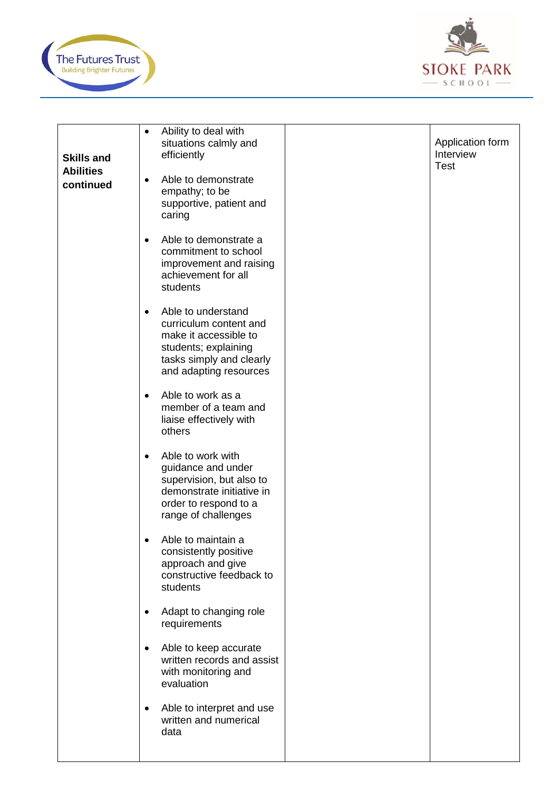



| <b>Skills and</b><br><b>Abilities</b><br>continued | Ability to deal with<br>$\bullet$<br>situations calmly and<br>efficiently<br>Able to demonstrate<br>$\bullet$<br>empathy; to be<br>supportive, patient and<br>caring | Application form<br>Interview<br><b>Test</b> |
|----------------------------------------------------|----------------------------------------------------------------------------------------------------------------------------------------------------------------------|----------------------------------------------|
|                                                    | Able to demonstrate a<br>$\bullet$<br>commitment to school<br>improvement and raising<br>achievement for all<br>students                                             |                                              |
|                                                    | Able to understand<br>$\bullet$<br>curriculum content and<br>make it accessible to<br>students; explaining<br>tasks simply and clearly<br>and adapting resources     |                                              |
|                                                    | Able to work as a<br>$\bullet$<br>member of a team and<br>liaise effectively with<br>others                                                                          |                                              |
|                                                    | Able to work with<br>$\bullet$<br>guidance and under<br>supervision, but also to<br>demonstrate initiative in<br>order to respond to a<br>range of challenges        |                                              |
|                                                    | Able to maintain a<br>consistently positive<br>approach and give<br>constructive feedback to<br>students                                                             |                                              |
|                                                    | Adapt to changing role<br>$\bullet$<br>requirements                                                                                                                  |                                              |
|                                                    | Able to keep accurate<br>$\bullet$<br>written records and assist<br>with monitoring and<br>evaluation                                                                |                                              |
|                                                    | Able to interpret and use<br>$\bullet$<br>written and numerical<br>data                                                                                              |                                              |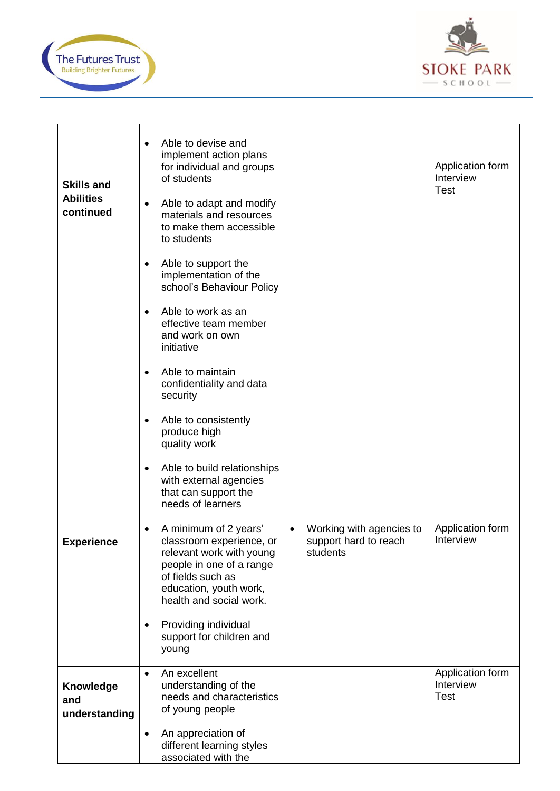



| <b>Skills and</b><br><b>Abilities</b><br>continued | Able to devise and<br>implement action plans<br>for individual and groups<br>of students<br>Able to adapt and modify<br>$\bullet$<br>materials and resources<br>to make them accessible<br>to students<br>Able to support the<br>implementation of the<br>school's Behaviour Policy<br>Able to work as an<br>effective team member<br>and work on own<br>initiative<br>Able to maintain<br>confidentiality and data<br>security<br>Able to consistently<br>produce high<br>quality work<br>Able to build relationships<br>$\bullet$<br>with external agencies<br>that can support the<br>needs of learners |                                                                            | Application form<br>Interview<br><b>Test</b> |
|----------------------------------------------------|------------------------------------------------------------------------------------------------------------------------------------------------------------------------------------------------------------------------------------------------------------------------------------------------------------------------------------------------------------------------------------------------------------------------------------------------------------------------------------------------------------------------------------------------------------------------------------------------------------|----------------------------------------------------------------------------|----------------------------------------------|
| <b>Experience</b>                                  | A minimum of 2 years'<br>$\bullet$<br>classroom experience, or<br>relevant work with young<br>people in one of a range<br>of fields such as<br>education, youth work,<br>health and social work.<br>Providing individual<br>support for children and<br>young                                                                                                                                                                                                                                                                                                                                              | Working with agencies to<br>$\bullet$<br>support hard to reach<br>students | Application form<br>Interview                |
| <b>Knowledge</b><br>and<br>understanding           | An excellent<br>$\bullet$<br>understanding of the<br>needs and characteristics<br>of young people<br>An appreciation of<br>$\bullet$<br>different learning styles<br>associated with the                                                                                                                                                                                                                                                                                                                                                                                                                   |                                                                            | Application form<br>Interview<br><b>Test</b> |